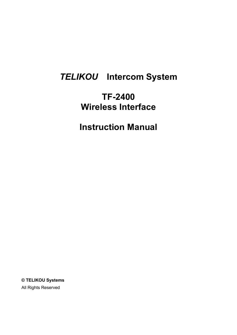# *TELIKOU* **Intercom System**

## **TF-2400 Wireless Interface**

**Instruction Manual**

**© TELIKOU Systems** All Rights Reserved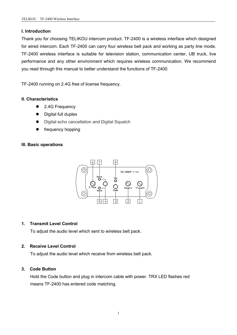#### **I. Introduction**

Thank you for choosing TELIKOU intercom product. TF-2400 is a wireless interface which designed for wired intercom. Each TF-2400 can carry four wireless belt pack and working as party line mode. TF-2400 wireless interface is suitable for television station, communication center, UB truck, live performance and any other environment which requires wireless communication. We recommend you read through this manual to better understand the functions of TF-2400.

TF-2400 running on 2.4G free of license frequency.

#### **II. Characteristics**

- 2.4G Frequency
- Digital full duplex
- $\bullet$  Digital echo cancellation and Digital Squelch
- [frequency](http://www.baidu.com/link?url=82zJF2QOeDnPBWNGVRsi--gzwqf9ZELhSofvlJQYEhIAQjAcmidb0k405rl6lqTRA_mX5cod-B_M5GDXQmHV-H6lzeZbaBQCRW_tGrC-lerdy_-QvSV2NCCGyqiknXVc) hopping

#### **III. Basic operations**



#### **1. Transmit Level Control**

To adjust the audio level which sent to wireless belt pack.

#### **2. Receive Level Control**

To adjust the audio level which receive from wireless belt pack.

#### **3. Code Button**

Hold the Code button and plug in intercom cable with power.TRX LED flashes red means TF-2400 has entered code matching.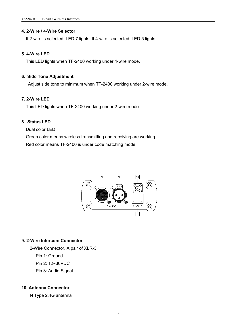#### **4. 2-Wire / 4-Wire Selector**

If 2-wire is selected, LED 7 lights. If 4-wire is selected, LED 5 lights.

#### **5. 4-Wire LED**

This LED lights when TF-2400 working under 4-wire mode.

#### **6. Side Tone Adjustment**

Adjust side tone to minimum when TF-2400 working under 2-wire mode.

#### **7. 2-Wire LED**

This LED lights when TF-2400 working under 2-wire mode.

### **8. Status LED**

Dual color LED.

Green color means wireless transmitting and receiving are working. Red color means TF-2400 is under code matching mode.



#### **9. 2-Wire Intercom Connector**

2-Wire Connector. A pair of XLR-3

Pin 1: Ground

Pin 2: 12~30VDC

Pin 3: Audio Signal

#### **10. Antenna Connector**

N Type 2.4G antenna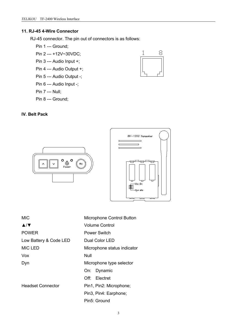#### **11. RJ-45 4-Wire Connector**

RJ-45 connector. The pin out of connectors is as follows:

- Pin 1 --- Ground;
- Pin 2 --- +12V~30VDC;
- Pin 3 --- Audio Input +;
- Pin 4 --- Audio Output +;
- Pin 5 --- Audio Output -;
- Pin 6 --- Audio Input -;

Pin 7 --- Null;

Pin 8 --- Ground;

#### **IV. Belt Pack**





| <b>MIC</b>                          | <b>Microphone Control Button</b> |
|-------------------------------------|----------------------------------|
| $\blacktriangle/\blacktriangledown$ | <b>Volume Control</b>            |
| <b>POWER</b>                        | <b>Power Switch</b>              |
| Low Battery & Code LED              | Dual Color LED                   |
| <b>MIC LED</b>                      | Microphone status indicator      |
| Vox                                 | Null                             |
| Dyn                                 | Microphone type selector         |
|                                     | On: Dynamic                      |
|                                     | Electret<br>Off:                 |
| <b>Headset Connector</b>            | Pin1, Pin2: Microphone;          |
|                                     | Pin3, Pin4: Earphone;            |

Pin5: Ground

$$
\begin{array}{c}\n1 & 8 \\
\hline\n\end{array}
$$